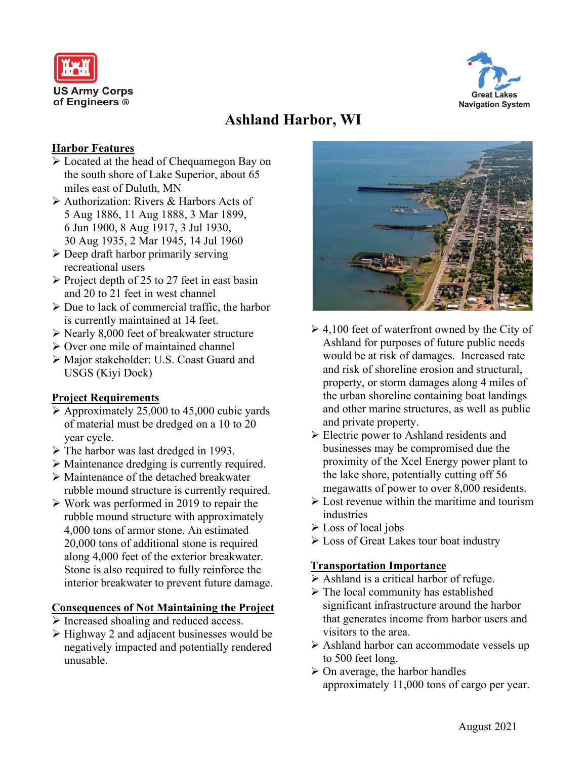



# **Ashland Harbor, WI**

#### **Harbor Features**

- Located at the head of Chequamegon Bay on the south shore of Lake Superior, about 65 miles east of Duluth, MN
- Authorization: Rivers & Harbors Acts of 5 Aug 1886, 11 Aug 1888, 3 Mar 1899, 6 Jun 1900, 8 Aug 1917, 3 Jul 1930, 30 Aug 1935, 2 Mar 1945, 14 Jul 1960
- $\triangleright$  Deep draft harbor primarily serving recreational users
- $\triangleright$  Project depth of 25 to 27 feet in east basin and 20 to 21 feet in west channel
- $\triangleright$  Due to lack of commercial traffic, the harbor is currently maintained at 14 feet.
- $\triangleright$  Nearly 8,000 feet of breakwater structure
- $\triangleright$  Over one mile of maintained channel
- Major stakeholder: U.S. Coast Guard and USGS (Kiyi Dock)

## **Project Requirements**

- $\triangleright$  Approximately 25,000 to 45,000 cubic yards of material must be dredged on a 10 to 20 year cycle.
- $\triangleright$  The harbor was last dredged in 1993.
- Maintenance dredging is currently required.
- Maintenance of the detached breakwater rubble mound structure is currently required.
- $\triangleright$  Work was performed in 2019 to repair the rubble mound structure with approximately 4,000 tons of armor stone. An estimated 20,000 tons of additional stone is required along 4,000 feet of the exterior breakwater. Stone is also required to fully reinforce the interior breakwater to prevent future damage.

## **Consequences of Not Maintaining the Project**

- $\triangleright$  Increased shoaling and reduced access.
- $\triangleright$  Highway 2 and adjacent businesses would be negatively impacted and potentially rendered unusable.



- $\geq 4,100$  feet of waterfront owned by the City of Ashland for purposes of future public needs would be at risk of damages. Increased rate and risk of shoreline erosion and structural, property, or storm damages along 4 miles of the urban shoreline containing boat landings and other marine structures, as well as public and private property.
- Electric power to Ashland residents and businesses may be compromised due the proximity of the Xcel Energy power plant to the lake shore, potentially cutting off 56 megawatts of power to over 8,000 residents.
- $\triangleright$  Lost revenue within the maritime and tourism industries
- Loss of local jobs
- Loss of Great Lakes tour boat industry

## **Transportation Importance**

- $\triangleright$  Ashland is a critical harbor of refuge.
- $\triangleright$  The local community has established significant infrastructure around the harbor that generates income from harbor users and visitors to the area.
- Ashland harbor can accommodate vessels up to 500 feet long.
- $\triangleright$  On average, the harbor handles approximately 11,000 tons of cargo per year.